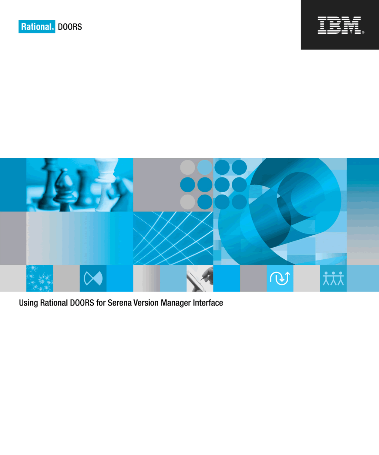





Using Rational DOORS for Serena Version Manager Interface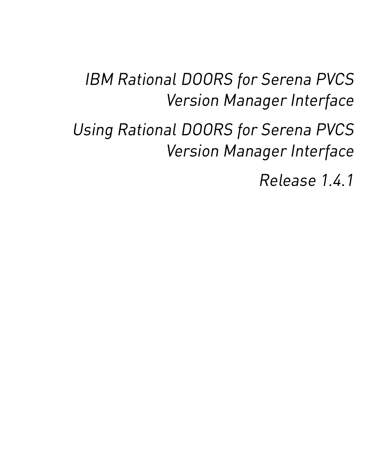*IBM Rational DOORS for Serena PVCS Version Manager Interface*

*Using Rational DOORS for Serena PVCS Version Manager Interface*

*Release 1.4.1*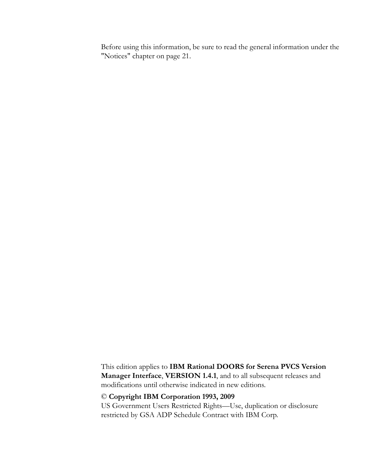Before using this information, be sure to read the general information under the ["Notices" chapter on page 21.](#page-26-0)

This edition applies to **IBM Rational DOORS for Serena PVCS Version Manager Interface**, **VERSION 1.4.1**, and to all subsequent releases and modifications until otherwise indicated in new editions.

#### © **Copyright IBM Corporation 1993, 2009**

US Government Users Restricted Rights—Use, duplication or disclosure restricted by GSA ADP Schedule Contract with IBM Corp.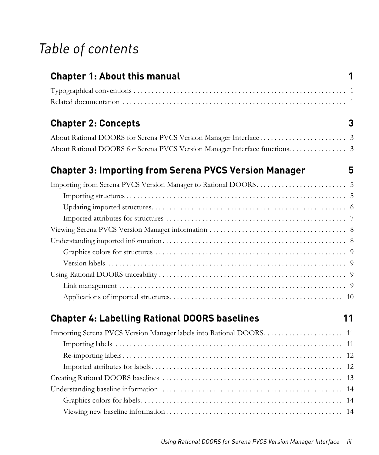## *Table of contents*

| <b>Chapter 1: About this manual</b><br>1                          |
|-------------------------------------------------------------------|
|                                                                   |
|                                                                   |
| <b>Chapter 2: Concepts</b><br>3                                   |
|                                                                   |
|                                                                   |
| <b>Chapter 3: Importing from Serena PVCS Version Manager</b><br>5 |
|                                                                   |
|                                                                   |
|                                                                   |
|                                                                   |
|                                                                   |
|                                                                   |
|                                                                   |
|                                                                   |
|                                                                   |
|                                                                   |
|                                                                   |
| <b>Chapter 4: Labelling Rational DOORS baselines</b><br>11        |
|                                                                   |
|                                                                   |
|                                                                   |
|                                                                   |
|                                                                   |
|                                                                   |
|                                                                   |
|                                                                   |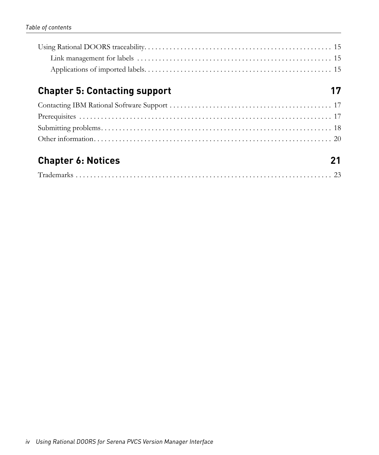### **[Chapter 5: Contacting support 17](#page-22-0)**

| Chapter 9. Contacting Support |  |
|-------------------------------|--|
|                               |  |
|                               |  |
|                               |  |
|                               |  |

### **[Chapter 6: Notices 21](#page-26-1)**

|--|--|--|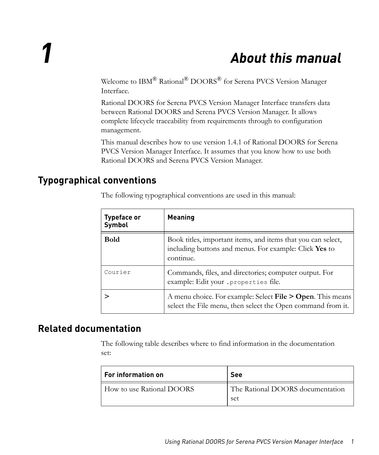## *1 About this manual*

<span id="page-6-0"></span>Welcome to IBM® Rational® DOORS® for Serena PVCS Version Manager Interface.

Rational DOORS for Serena PVCS Version Manager Interface transfers data between Rational DOORS and Serena PVCS Version Manager. It allows complete lifecycle traceability from requirements through to configuration management.

This manual describes how to use version 1.4.1 of Rational DOORS for Serena PVCS Version Manager Interface. It assumes that you know how to use both Rational DOORS and Serena PVCS Version Manager.

### <span id="page-6-1"></span>**Typographical conventions**

The following typographical conventions are used in this manual:

| <b>Typeface or</b><br>Symbol | <b>Meaning</b>                                                                                                                      |
|------------------------------|-------------------------------------------------------------------------------------------------------------------------------------|
| <b>Bold</b>                  | Book titles, important items, and items that you can select,<br>including buttons and menus. For example: Click Yes to<br>continue. |
| Courier                      | Commands, files, and directories; computer output. For<br>example: Edit your .properties file.                                      |
|                              | A menu choice. For example: Select File > Open. This means<br>select the File menu, then select the Open command from it.           |

### <span id="page-6-2"></span>**Related documentation**

The following table describes where to find information in the documentation set:

| For information on        | See                                     |  |
|---------------------------|-----------------------------------------|--|
| How to use Rational DOORS | The Rational DOORS documentation<br>set |  |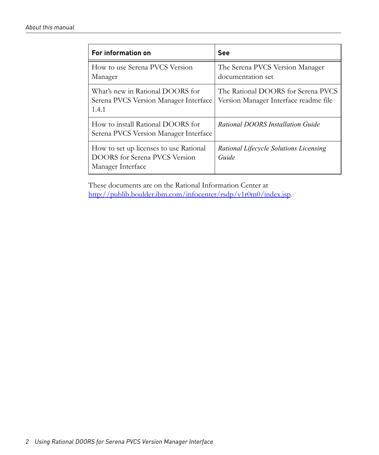| For information on                                                                           | See                                                                         |
|----------------------------------------------------------------------------------------------|-----------------------------------------------------------------------------|
| How to use Serena PVCS Version<br>Manager                                                    | The Serena PVCS Version Manager<br>documentation set                        |
| What's new in Rational DOORS for<br>Serena PVCS Version Manager Interface<br>1.4.1           | The Rational DOORS for Serena PVCS<br>Version Manager Interface readme file |
| How to install Rational DOORS for<br>Serena PVCS Version Manager Interface                   | Rational DOORS Installation Guide                                           |
| How to set up licenses to use Rational<br>DOORS for Serena PVCS Version<br>Manager Interface | Rational Lifecycle Solutions Licensing<br>Guide                             |

These documents are on the Rational Information Center at http://publib.boulder.ibm.com/infocenter/rsdp/v1r0m0/index.jsp.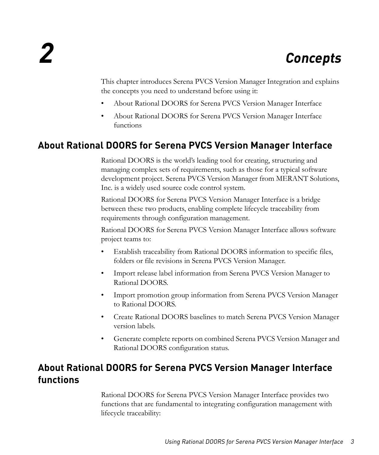# <span id="page-8-0"></span>*2 Concepts*

This chapter introduces Serena PVCS Version Manager Integration and explains the concepts you need to understand before using it:

- [About Rational DOORS for Serena PVCS Version Manager Interface](#page-8-1)
- [About Rational DOORS for Serena PVCS Version Manager Interface](#page-8-2)  [functions](#page-8-2)

### <span id="page-8-4"></span><span id="page-8-1"></span>**About Rational DOORS for Serena PVCS Version Manager Interface**

Rational DOORS is the world's leading tool for creating, structuring and managing complex sets of requirements, such as those for a typical software development project. Serena PVCS Version Manager from MERANT Solutions, Inc. is a widely used source code control system.

Rational DOORS for Serena PVCS Version Manager Interface is a bridge between these two products, enabling complete lifecycle traceability from requirements through configuration management.

Rational DOORS for Serena PVCS Version Manager Interface allows software project teams to:

- Establish traceability from Rational DOORS information to specific files, folders or file revisions in Serena PVCS Version Manager.
- Import release label information from Serena PVCS Version Manager to Rational DOORS.
- Import promotion group information from Serena PVCS Version Manager to Rational DOORS.
- Create Rational DOORS baselines to match Serena PVCS Version Manager version labels.
- Generate complete reports on combined Serena PVCS Version Manager and Rational DOORS configuration status.

### <span id="page-8-3"></span><span id="page-8-2"></span>**About Rational DOORS for Serena PVCS Version Manager Interface functions**

Rational DOORS for Serena PVCS Version Manager Interface provides two functions that are fundamental to integrating configuration management with lifecycle traceability: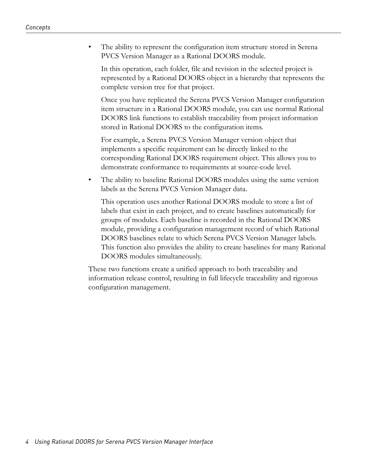The ability to represent the configuration item structure stored in Serena PVCS Version Manager as a Rational DOORS module.

In this operation, each folder, file and revision in the selected project is represented by a Rational DOORS object in a hierarchy that represents the complete version tree for that project.

Once you have replicated the Serena PVCS Version Manager configuration item structure in a Rational DOORS module, you can use normal Rational DOORS link functions to establish traceability from project information stored in Rational DOORS to the configuration items.

For example, a Serena PVCS Version Manager version object that implements a specific requirement can be directly linked to the corresponding Rational DOORS requirement object. This allows you to demonstrate conformance to requirements at source-code level.

• The ability to baseline Rational DOORS modules using the same version labels as the Serena PVCS Version Manager data.

This operation uses another Rational DOORS module to store a list of labels that exist in each project, and to create baselines automatically for groups of modules. Each baseline is recorded in the Rational DOORS module, providing a configuration management record of which Rational DOORS baselines relate to which Serena PVCS Version Manager labels. This function also provides the ability to create baselines for many Rational DOORS modules simultaneously.

These two functions create a unified approach to both traceability and information release control, resulting in full lifecycle traceability and rigorous configuration management.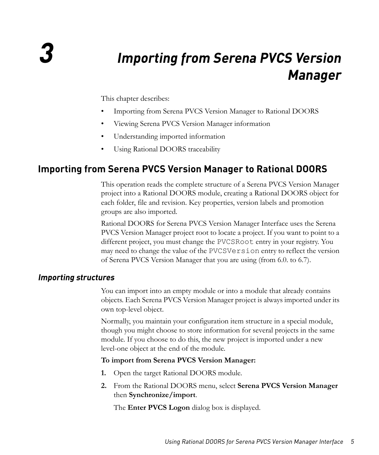## *3 Importing from Serena PVCS Version Manager*

<span id="page-10-0"></span>This chapter describes:

- [Importing from Serena PVCS Version Manager to Rational DOORS](#page-10-1)
- [Viewing Serena PVCS Version Manager information](#page-13-0)
- [Understanding imported information](#page-13-1)
- [Using Rational DOORS traceability](#page-14-2)

### <span id="page-10-3"></span><span id="page-10-1"></span>**Importing from Serena PVCS Version Manager to Rational DOORS**

This operation reads the complete structure of a Serena PVCS Version Manager project into a Rational DOORS module, creating a Rational DOORS object for each folder, file and revision. Key properties, version labels and promotion groups are also imported.

Rational DOORS for Serena PVCS Version Manager Interface uses the Serena PVCS Version Manager project root to locate a project. If you want to point to a different project, you must change the PVCSRoot entry in your registry. You may need to change the value of the PVCSVersion entry to reflect the version of Serena PVCS Version Manager that you are using (from 6.0. to 6.7).

#### <span id="page-10-2"></span>*Importing structures*

You can import into an empty module or into a module that already contains objects. Each Serena PVCS Version Manager project is always imported under its own top-level object.

Normally, you maintain your configuration item structure in a special module, though you might choose to store information for several projects in the same module. If you choose to do this, the new project is imported under a new level-one object at the end of the module.

#### **To import from Serena PVCS Version Manager:**

- **1.** Open the target Rational DOORS module.
- **2.** From the Rational DOORS menu, select **Serena PVCS Version Manager** then **Synchronize/import**.

The **Enter PVCS Logon** dialog box is displayed.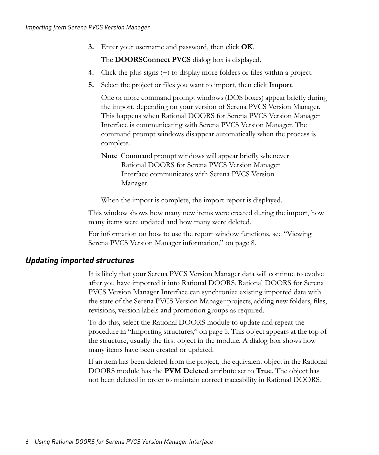**3.** Enter your username and password, then click **OK**.

The **DOORSConnect PVCS** dialog box is displayed.

- **4.** Click the plus signs (+) to display more folders or files within a project.
- **5.** Select the project or files you want to import, then click **Import**.

One or more command prompt windows (DOS boxes) appear briefly during the import, depending on your version of Serena PVCS Version Manager. This happens when Rational DOORS for Serena PVCS Version Manager Interface is communicating with Serena PVCS Version Manager. The command prompt windows disappear automatically when the process is complete.

**Note** Command prompt windows will appear briefly whenever Rational DOORS for Serena PVCS Version Manager Interface communicates with Serena PVCS Version Manager.

When the import is complete, the import report is displayed.

This window shows how many new items were created during the import, how many items were updated and how many were deleted.

For information on how to use the report window functions, see ["Viewing](#page-13-0)  [Serena PVCS Version Manager information," on page 8.](#page-13-0)

#### <span id="page-11-1"></span><span id="page-11-0"></span>*Updating imported structures*

It is likely that your Serena PVCS Version Manager data will continue to evolve after you have imported it into Rational DOORS. Rational DOORS for Serena PVCS Version Manager Interface can synchronize existing imported data with the state of the Serena PVCS Version Manager projects, adding new folders, files, revisions, version labels and promotion groups as required.

To do this, select the Rational DOORS module to update and repeat the procedure in ["Importing structures," on page 5.](#page-10-2) This object appears at the top of the structure, usually the first object in the module. A dialog box shows how many items have been created or updated.

If an item has been deleted from the project, the equivalent object in the Rational DOORS module has the **PVM Deleted** attribute set to **True**. The object has not been deleted in order to maintain correct traceability in Rational DOORS.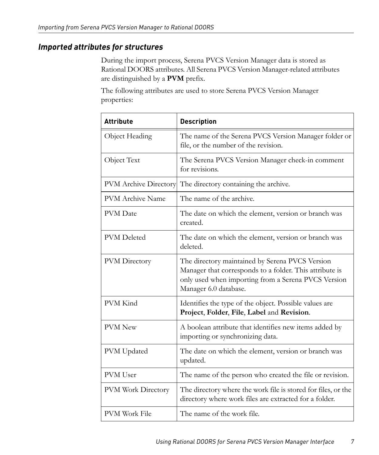#### <span id="page-12-1"></span><span id="page-12-0"></span>*Imported attributes for structures*

During the import process, Serena PVCS Version Manager data is stored as Rational DOORS attributes. All Serena PVCS Version Manager-related attributes are distinguished by a **PVM** prefix.

The following attributes are used to store Serena PVCS Version Manager properties:

| <b>Attribute</b>          | <b>Description</b>                                                                                                                                                                         |
|---------------------------|--------------------------------------------------------------------------------------------------------------------------------------------------------------------------------------------|
| Object Heading            | The name of the Serena PVCS Version Manager folder or<br>file, or the number of the revision.                                                                                              |
| Object Text               | The Serena PVCS Version Manager check-in comment<br>for revisions.                                                                                                                         |
| PVM Archive Directory     | The directory containing the archive.                                                                                                                                                      |
| PVM Archive Name          | The name of the archive.                                                                                                                                                                   |
| <b>PVM</b> Date           | The date on which the element, version or branch was<br>created.                                                                                                                           |
| <b>PVM</b> Deleted        | The date on which the element, version or branch was<br>deleted.                                                                                                                           |
| PVM Directory             | The directory maintained by Serena PVCS Version<br>Manager that corresponds to a folder. This attribute is<br>only used when importing from a Serena PVCS Version<br>Manager 6.0 database. |
| PVM Kind                  | Identifies the type of the object. Possible values are<br>Project, Folder, File, Label and Revision.                                                                                       |
| <b>PVM New</b>            | A boolean attribute that identifies new items added by<br>importing or synchronizing data.                                                                                                 |
| PVM Updated               | The date on which the element, version or branch was<br>updated.                                                                                                                           |
| PVM User                  | The name of the person who created the file or revision.                                                                                                                                   |
| <b>PVM Work Directory</b> | The directory where the work file is stored for files, or the<br>directory where work files are extracted for a folder.                                                                    |
| PVM Work File             | The name of the work file.                                                                                                                                                                 |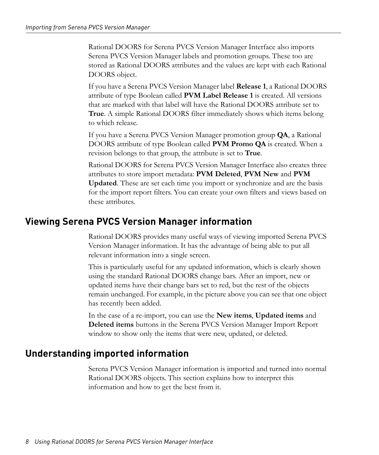Rational DOORS for Serena PVCS Version Manager Interface also imports Serena PVCS Version Manager labels and promotion groups. These too are stored as Rational DOORS attributes and the values are kept with each Rational DOORS object.

If you have a Serena PVCS Version Manager label **Release 1**, a Rational DOORS attribute of type Boolean called **PVM Label Release 1** is created. All versions that are marked with that label will have the Rational DOORS attribute set to **True**. A simple Rational DOORS filter immediately shows which items belong to which release.

If you have a Serena PVCS Version Manager promotion group **QA**, a Rational DOORS attribute of type Boolean called **PVM Promo QA** is created. When a revision belongs to that group, the attribute is set to **True**.

Rational DOORS for Serena PVCS Version Manager Interface also creates three attributes to store import metadata: **PVM Deleted**, **PVM New** and **PVM Updated**. These are set each time you import or synchronize and are the basis for the import report filters. You can create your own filters and views based on these attributes.

### <span id="page-13-2"></span><span id="page-13-0"></span>**Viewing Serena PVCS Version Manager information**

Rational DOORS provides many useful ways of viewing imported Serena PVCS Version Manager information. It has the advantage of being able to put all relevant information into a single screen.

This is particularly useful for any updated information, which is clearly shown using the standard Rational DOORS change bars. After an import, new or updated items have their change bars set to red, but the rest of the objects remain unchanged. For example, in the picture above you can see that one object has recently been added.

In the case of a re-import, you can use the **New items**, **Updated items** and **Deleted items** buttons in the Serena PVCS Version Manager Import Report window to show only the items that were new, updated, or deleted.

### <span id="page-13-3"></span><span id="page-13-1"></span>**Understanding imported information**

Serena PVCS Version Manager information is imported and turned into normal Rational DOORS objects. This section explains how to interpret this information and how to get the best from it.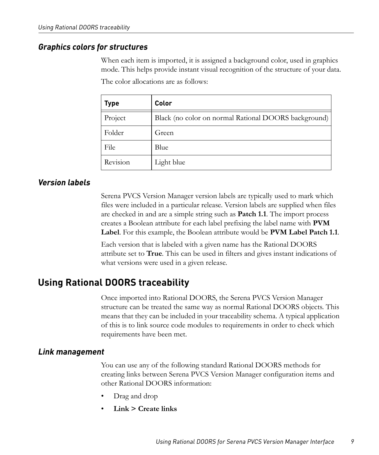#### <span id="page-14-4"></span><span id="page-14-0"></span>*Graphics colors for structures*

When each item is imported, it is assigned a background color, used in graphics mode. This helps provide instant visual recognition of the structure of your data.

The color allocations are as follows:

| <b>Type</b> | Color                                                |
|-------------|------------------------------------------------------|
| Project     | Black (no color on normal Rational DOORS background) |
| Folder      | Green                                                |
| File        | Blue                                                 |
| Revision    | Light blue                                           |

#### <span id="page-14-5"></span><span id="page-14-1"></span>*Version labels*

Serena PVCS Version Manager version labels are typically used to mark which files were included in a particular release. Version labels are supplied when files are checked in and are a simple string such as **Patch 1.1**. The import process creates a Boolean attribute for each label prefixing the label name with **PVM Label**. For this example, the Boolean attribute would be **PVM Label Patch 1.1**.

Each version that is labeled with a given name has the Rational DOORS attribute set to **True**. This can be used in filters and gives instant indications of what versions were used in a given release.

### <span id="page-14-7"></span><span id="page-14-2"></span>**Using Rational DOORS traceability**

Once imported into Rational DOORS, the Serena PVCS Version Manager structure can be treated the same way as normal Rational DOORS objects. This means that they can be included in your traceability schema. A typical application of this is to link source code modules to requirements in order to check which requirements have been met.

#### <span id="page-14-6"></span><span id="page-14-3"></span>*Link management*

You can use any of the following standard Rational DOORS methods for creating links between Serena PVCS Version Manager configuration items and other Rational DOORS information:

- Drag and drop
- **Link > Create links**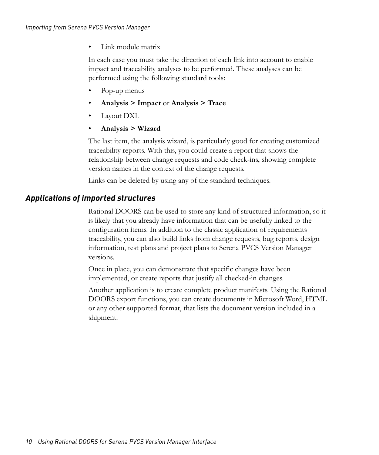Link module matrix

In each case you must take the direction of each link into account to enable impact and traceability analyses to be performed. These analyses can be performed using the following standard tools:

- Pop-up menus
- **Analysis > Impact** or **Analysis > Trace**
- Layout DXL
- **Analysis > Wizard**

The last item, the analysis wizard, is particularly good for creating customized traceability reports. With this, you could create a report that shows the relationship between change requests and code check-ins, showing complete version names in the context of the change requests.

Links can be deleted by using any of the standard techniques.

#### <span id="page-15-1"></span><span id="page-15-0"></span>*Applications of imported structures*

Rational DOORS can be used to store any kind of structured information, so it is likely that you already have information that can be usefully linked to the configuration items. In addition to the classic application of requirements traceability, you can also build links from change requests, bug reports, design information, test plans and project plans to Serena PVCS Version Manager versions.

Once in place, you can demonstrate that specific changes have been implemented, or create reports that justify all checked-in changes.

Another application is to create complete product manifests. Using the Rational DOORS export functions, you can create documents in Microsoft Word, HTML or any other supported format, that lists the document version included in a shipment.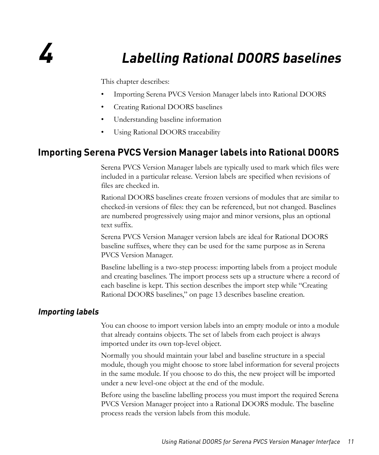## <span id="page-16-0"></span>*4 Labelling Rational DOORS baselines*

This chapter describes:

- [Importing Serena PVCS Version Manager labels into Rational DOORS](#page-16-1)
- [Creating Rational DOORS baselines](#page-18-0)
- [Understanding baseline information](#page-19-0)
- [Using Rational DOORS traceability](#page-20-0)

### <span id="page-16-3"></span><span id="page-16-1"></span>**Importing Serena PVCS Version Manager labels into Rational DOORS**

Serena PVCS Version Manager labels are typically used to mark which files were included in a particular release. Version labels are specified when revisions of files are checked in.

Rational DOORS baselines create frozen versions of modules that are similar to checked-in versions of files: they can be referenced, but not changed. Baselines are numbered progressively using major and minor versions, plus an optional text suffix.

Serena PVCS Version Manager version labels are ideal for Rational DOORS baseline suffixes, where they can be used for the same purpose as in Serena PVCS Version Manager.

Baseline labelling is a two-step process: importing labels from a project module and creating baselines. The import process sets up a structure where a record of each baseline is kept. This section describes the import step while ["Creating](#page-18-0)  [Rational DOORS baselines," on page 13](#page-18-0) describes baseline creation.

#### <span id="page-16-2"></span>*Importing labels*

You can choose to import version labels into an empty module or into a module that already contains objects. The set of labels from each project is always imported under its own top-level object.

Normally you should maintain your label and baseline structure in a special module, though you might choose to store label information for several projects in the same module. If you choose to do this, the new project will be imported under a new level-one object at the end of the module.

Before using the baseline labelling process you must import the required Serena PVCS Version Manager project into a Rational DOORS module. The baseline process reads the version labels from this module.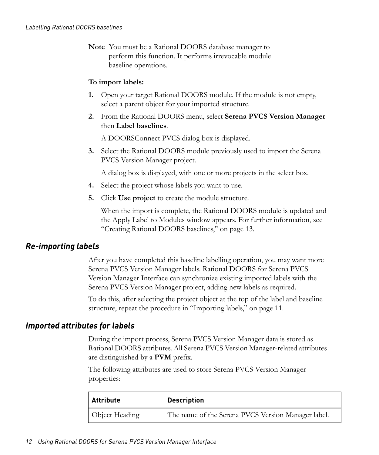**Note** You must be a Rational DOORS database manager to perform this function. It performs irrevocable module baseline operations.

#### **To import labels:**

- **1.** Open your target Rational DOORS module. If the module is not empty, select a parent object for your imported structure.
- **2.** From the Rational DOORS menu, select **Serena PVCS Version Manager** then **Label baselines**.

A DOORSConnect PVCS dialog box is displayed.

**3.** Select the Rational DOORS module previously used to import the Serena PVCS Version Manager project.

A dialog box is displayed, with one or more projects in the select box.

- **4.** Select the project whose labels you want to use.
- **5.** Click **Use project** to create the module structure.

When the import is complete, the Rational DOORS module is updated and the Apply Label to Modules window appears. For further information, see ["Creating Rational DOORS baselines," on page 13](#page-18-0).

#### <span id="page-17-3"></span><span id="page-17-0"></span>*Re-importing labels*

After you have completed this baseline labelling operation, you may want more Serena PVCS Version Manager labels. Rational DOORS for Serena PVCS Version Manager Interface can synchronize existing imported labels with the Serena PVCS Version Manager project, adding new labels as required.

To do this, after selecting the project object at the top of the label and baseline structure, repeat the procedure in ["Importing labels," on page 11](#page-16-2).

#### <span id="page-17-2"></span><span id="page-17-1"></span>*Imported attributes for labels*

During the import process, Serena PVCS Version Manager data is stored as Rational DOORS attributes. All Serena PVCS Version Manager-related attributes are distinguished by a **PVM** prefix.

The following attributes are used to store Serena PVCS Version Manager properties:

| <b>Attribute</b> | <b>Description</b>                                 |
|------------------|----------------------------------------------------|
| Object Heading   | The name of the Serena PVCS Version Manager label. |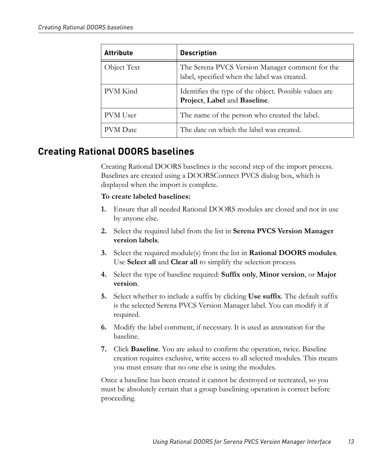| <b>Attribute</b> | <b>Description</b>                                                                              |
|------------------|-------------------------------------------------------------------------------------------------|
| Object Text      | The Serena PVCS Version Manager comment for the<br>label, specified when the label was created. |
| PVM Kind         | Identifies the type of the object. Possible values are<br>Project, Label and Baseline.          |
| PVM User         | The name of the person who created the label.                                                   |
| <b>PVM</b> Date  | The date on which the label was created.                                                        |

### <span id="page-18-1"></span><span id="page-18-0"></span>**Creating Rational DOORS baselines**

Creating Rational DOORS baselines is the second step of the import process. Baselines are created using a DOORSConnect PVCS dialog box, which is displayed when the import is complete.

#### **To create labeled baselines:**

- **1.** Ensure that all needed Rational DOORS modules are closed and not in use by anyone else.
- **2.** Select the required label from the list in **Serena PVCS Version Manager version labels**.
- **3.** Select the required module(s) from the list in **Rational DOORS modules**. Use **Select all** and **Clear all** to simplify the selection process.
- **4.** Select the type of baseline required: **Suffix only**, **Minor version**, or **Major version**.
- **5.** Select whether to include a suffix by clicking **Use suffix**. The default suffix is the selected Serena PVCS Version Manager label. You can modify it if required.
- **6.** Modify the label comment, if necessary. It is used as annotation for the baseline.
- **7.** Click **Baseline**. You are asked to confirm the operation, twice. Baseline creation requires exclusive, write access to all selected modules. This means you must ensure that no one else is using the modules.

Once a baseline has been created it cannot be destroyed or recreated, so you must be absolutely certain that a group baselining operation is correct before proceeding.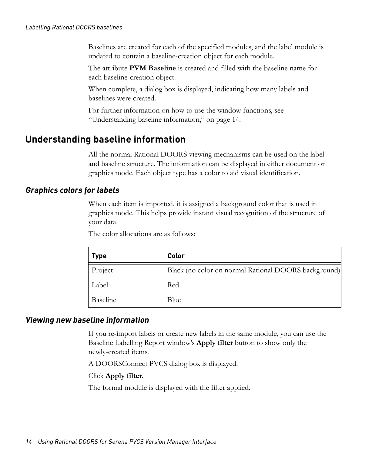Baselines are created for each of the specified modules, and the label module is updated to contain a baseline-creation object for each module.

The attribute **PVM Baseline** is created and filled with the baseline name for each baseline-creation object.

When complete, a dialog box is displayed, indicating how many labels and baselines were created.

For further information on how to use the window functions, see ["Understanding baseline information," on page 14.](#page-19-0)

### <span id="page-19-4"></span><span id="page-19-0"></span>**Understanding baseline information**

All the normal Rational DOORS viewing mechanisms can be used on the label and baseline structure. The information can be displayed in either document or graphics mode. Each object type has a color to aid visual identification.

#### <span id="page-19-5"></span><span id="page-19-1"></span>*Graphics colors for labels*

When each item is imported, it is assigned a background color that is used in graphics mode. This helps provide instant visual recognition of the structure of your data.

The color allocations are as follows:

| <b>Type</b> | Color                                                |
|-------------|------------------------------------------------------|
| Project     | Black (no color on normal Rational DOORS background) |
| Label       | Red                                                  |
| Baseline    | Blue                                                 |

#### <span id="page-19-3"></span><span id="page-19-2"></span>*Viewing new baseline information*

If you re-import labels or create new labels in the same module, you can use the Baseline Labelling Report window's **Apply filter** button to show only the newly-created items.

A DOORSConnect PVCS dialog box is displayed.

#### Click **Apply filter**.

The formal module is displayed with the filter applied.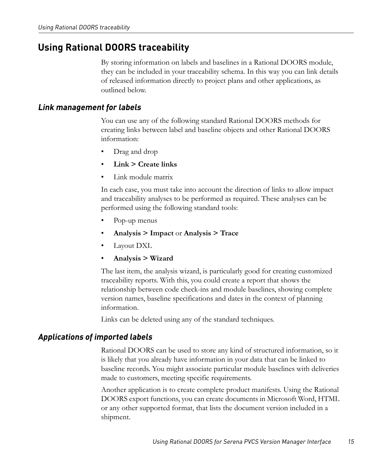### <span id="page-20-5"></span><span id="page-20-0"></span>**Using Rational DOORS traceability**

By storing information on labels and baselines in a Rational DOORS module, they can be included in your traceability schema. In this way you can link details of released information directly to project plans and other applications, as outlined below.

#### <span id="page-20-4"></span><span id="page-20-1"></span>*Link management for labels*

You can use any of the following standard Rational DOORS methods for creating links between label and baseline objects and other Rational DOORS information:

- Drag and drop
- **Link > Create links**
- Link module matrix

In each case, you must take into account the direction of links to allow impact and traceability analyses to be performed as required. These analyses can be performed using the following standard tools:

- Pop-up menus
- **Analysis > Impact** or **Analysis > Trace**
- Layout DXL
- **Analysis > Wizard**

The last item, the analysis wizard, is particularly good for creating customized traceability reports. With this, you could create a report that shows the relationship between code check-ins and module baselines, showing complete version names, baseline specifications and dates in the context of planning information.

Links can be deleted using any of the standard techniques.

#### <span id="page-20-3"></span><span id="page-20-2"></span>*Applications of imported labels*

Rational DOORS can be used to store any kind of structured information, so it is likely that you already have information in your data that can be linked to baseline records. You might associate particular module baselines with deliveries made to customers, meeting specific requirements.

Another application is to create complete product manifests. Using the Rational DOORS export functions, you can create documents in Microsoft Word, HTML or any other supported format, that lists the document version included in a shipment.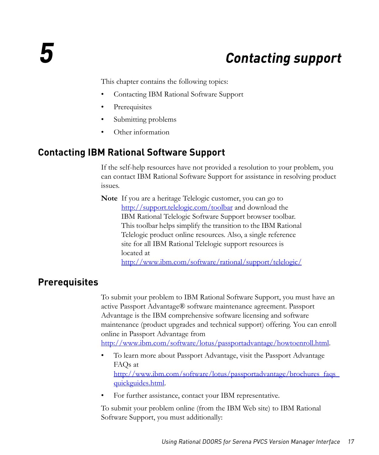## *5 Contacting support*

<span id="page-22-0"></span>This chapter contains the following topics:

- [Contacting IBM Rational Software Support](#page-22-1)
- **[Prerequisites](#page-22-2)**
- [Submitting problems](#page-23-0)
- <span id="page-22-3"></span>• [Other information](#page-25-0)

### <span id="page-22-1"></span>**Contacting IBM Rational Software Support**

If the self-help resources have not provided a resolution to your problem, you can contact IBM Rational Software Support for assistance in resolving product issues.

**Note** If you are a heritage Telelogic customer, you can go to http://support.telelogic.com/toolbar and download the IBM Rational Telelogic Software Support browser toolbar. This toolbar helps simplify the transition to the IBM Rational Telelogic product online resources. Also, a single reference site for all IBM Rational Telelogic support resources is located at

http://www.ibm.com/software/rational/support/telelogic/

#### <span id="page-22-2"></span>**Prerequisites**

To submit your problem to IBM Rational Software Support, you must have an active Passport Advantage® software maintenance agreement. Passport Advantage is the IBM comprehensive software licensing and software maintenance (product upgrades and technical support) offering. You can enroll online in Passport Advantage from

http://www.ibm.com/software/lotus/passportadvantage/howtoenroll.html.

- To learn more about Passport Advantage, visit the Passport Advantage FAQs at http://www.ibm.com/software/lotus/passportadvantage/brochures\_faqs\_ quickguides.html.
- For further assistance, contact your IBM representative.

To submit your problem online (from the IBM Web site) to IBM Rational Software Support, you must additionally: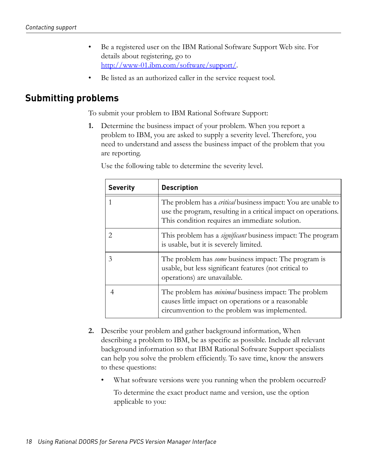- Be a registered user on the IBM Rational Software Support Web site. For details about registering, go to http://www-01.ibm.com/software/support/.
- Be listed as an authorized caller in the service request tool.

#### <span id="page-23-0"></span>**Submitting problems**

To submit your problem to IBM Rational Software Support:

**1.** Determine the business impact of your problem. When you report a problem to IBM, you are asked to supply a severity level. Therefore, you need to understand and assess the business impact of the problem that you are reporting.

Use the following table to determine the severity level.

| <b>Severity</b> | <b>Description</b>                                                                                                                                                                       |
|-----------------|------------------------------------------------------------------------------------------------------------------------------------------------------------------------------------------|
| 1               | The problem has a <i>critical</i> business impact: You are unable to<br>use the program, resulting in a critical impact on operations.<br>This condition requires an immediate solution. |
| $\mathfrak{D}$  | This problem has a <i>significant</i> business impact: The program<br>is usable, but it is severely limited.                                                                             |
| 3               | The problem has <i>some</i> business impact: The program is<br>usable, but less significant features (not critical to<br>operations) are unavailable.                                    |
|                 | The problem has <i>minimal</i> business impact: The problem<br>causes little impact on operations or a reasonable<br>circumvention to the problem was implemented.                       |

- **2.** Describe your problem and gather background information, When describing a problem to IBM, be as specific as possible. Include all relevant background information so that IBM Rational Software Support specialists can help you solve the problem efficiently. To save time, know the answers to these questions:
	- What software versions were you running when the problem occurred?

To determine the exact product name and version, use the option applicable to you: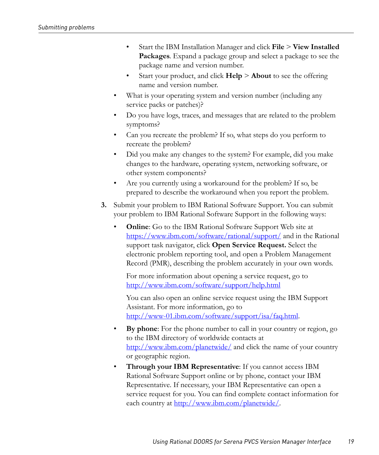- Start the IBM Installation Manager and click **File** > **View Installed Packages**. Expand a package group and select a package to see the package name and version number.
- Start your product, and click **Help** > **About** to see the offering name and version number.
- What is your operating system and version number (including any service packs or patches)?
- Do you have logs, traces, and messages that are related to the problem symptoms?
- Can you recreate the problem? If so, what steps do you perform to recreate the problem?
- Did you make any changes to the system? For example, did you make changes to the hardware, operating system, networking software, or other system components?
- Are you currently using a workaround for the problem? If so, be prepared to describe the workaround when you report the problem.
- **3.** Submit your problem to IBM Rational Software Support. You can submit your problem to IBM Rational Software Support in the following ways:
	- **Online**: Go to the IBM Rational Software Support Web site at https://www.ibm.com/software/rational/support/ and in the Rational support task navigator, click **Open Service Request.** Select the electronic problem reporting tool, and open a Problem Management Record (PMR), describing the problem accurately in your own words.

For more information about opening a service request, go to http://www.ibm.com/software/support/help.html

You can also open an online service request using the IBM Support Assistant. For more information, go to http://www-01.ibm.com/software/support/isa/faq.html.

- **By phone**: For the phone number to call in your country or region, go to the IBM directory of worldwide contacts at http://www.ibm.com/planetwide/ and click the name of your country or geographic region.
- **Through your IBM Representative:** If you cannot access IBM Rational Software Support online or by phone, contact your IBM Representative. If necessary, your IBM Representative can open a service request for you. You can find complete contact information for each country at http://www.ibm.com/planetwide/.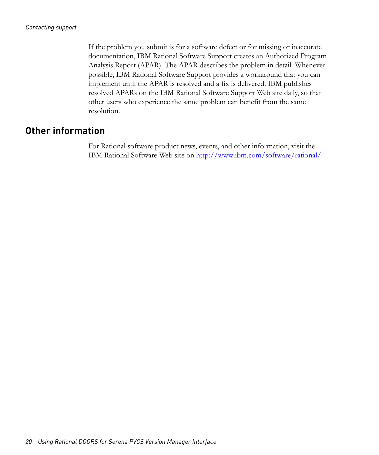If the problem you submit is for a software defect or for missing or inaccurate documentation, IBM Rational Software Support creates an Authorized Program Analysis Report (APAR). The APAR describes the problem in detail. Whenever possible, IBM Rational Software Support provides a workaround that you can implement until the APAR is resolved and a fix is delivered. IBM publishes resolved APARs on the IBM Rational Software Support Web site daily, so that other users who experience the same problem can benefit from the same resolution.

### <span id="page-25-0"></span>**Other information**

For Rational software product news, events, and other information, visit the IBM Rational Software Web site on http://www.ibm.com/software/rational/.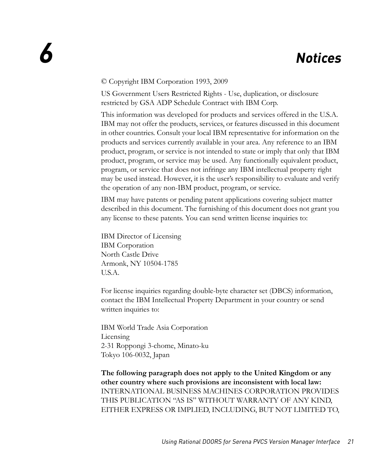#### <span id="page-26-1"></span><span id="page-26-0"></span>© Copyright IBM Corporation 1993, 2009

US Government Users Restricted Rights - Use, duplication, or disclosure restricted by GSA ADP Schedule Contract with IBM Corp.

This information was developed for products and services offered in the U.S.A. IBM may not offer the products, services, or features discussed in this document in other countries. Consult your local IBM representative for information on the products and services currently available in your area. Any reference to an IBM product, program, or service is not intended to state or imply that only that IBM product, program, or service may be used. Any functionally equivalent product, program, or service that does not infringe any IBM intellectual property right may be used instead. However, it is the user's responsibility to evaluate and verify the operation of any non-IBM product, program, or service.

IBM may have patents or pending patent applications covering subject matter described in this document. The furnishing of this document does not grant you any license to these patents. You can send written license inquiries to:

IBM Director of Licensing IBM Corporation North Castle Drive Armonk, NY 10504-1785 U.S.A.

For license inquiries regarding double-byte character set (DBCS) information, contact the IBM Intellectual Property Department in your country or send written inquiries to:

IBM World Trade Asia Corporation Licensing 2-31 Roppongi 3-chome, Minato-ku Tokyo 106-0032, Japan

**The following paragraph does not apply to the United Kingdom or any other country where such provisions are inconsistent with local law:** INTERNATIONAL BUSINESS MACHINES CORPORATION PROVIDES THIS PUBLICATION "AS IS" WITHOUT WARRANTY OF ANY KIND, EITHER EXPRESS OR IMPLIED, INCLUDING, BUT NOT LIMITED TO,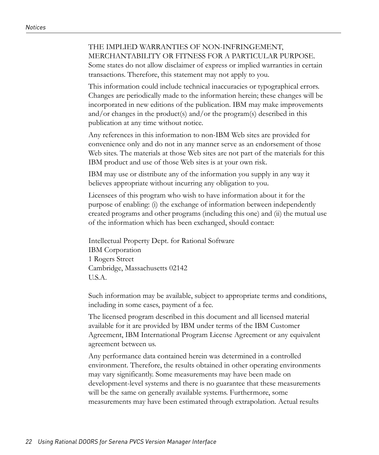### THE IMPLIED WARRANTIES OF NON-INFRINGEMENT, MERCHANTABILITY OR FITNESS FOR A PARTICULAR PURPOSE.

Some states do not allow disclaimer of express or implied warranties in certain transactions. Therefore, this statement may not apply to you.

This information could include technical inaccuracies or typographical errors. Changes are periodically made to the information herein; these changes will be incorporated in new editions of the publication. IBM may make improvements and/or changes in the product(s) and/or the program(s) described in this publication at any time without notice.

Any references in this information to non-IBM Web sites are provided for convenience only and do not in any manner serve as an endorsement of those Web sites. The materials at those Web sites are not part of the materials for this IBM product and use of those Web sites is at your own risk.

IBM may use or distribute any of the information you supply in any way it believes appropriate without incurring any obligation to you.

Licensees of this program who wish to have information about it for the purpose of enabling: (i) the exchange of information between independently created programs and other programs (including this one) and (ii) the mutual use of the information which has been exchanged, should contact:

Intellectual Property Dept. for Rational Software IBM Corporation 1 Rogers Street Cambridge, Massachusetts 02142 U.S.A.

Such information may be available, subject to appropriate terms and conditions, including in some cases, payment of a fee.

The licensed program described in this document and all licensed material available for it are provided by IBM under terms of the IBM Customer Agreement, IBM International Program License Agreement or any equivalent agreement between us.

Any performance data contained herein was determined in a controlled environment. Therefore, the results obtained in other operating environments may vary significantly. Some measurements may have been made on development-level systems and there is no guarantee that these measurements will be the same on generally available systems. Furthermore, some measurements may have been estimated through extrapolation. Actual results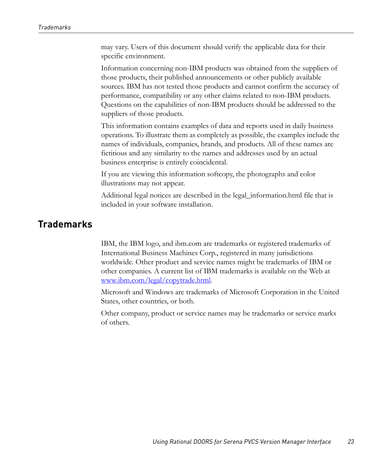may vary. Users of this document should verify the applicable data for their specific environment.

Information concerning non-IBM products was obtained from the suppliers of those products, their published announcements or other publicly available sources. IBM has not tested those products and cannot confirm the accuracy of performance, compatibility or any other claims related to non-IBM products. Questions on the capabilities of non-IBM products should be addressed to the suppliers of those products.

This information contains examples of data and reports used in daily business operations. To illustrate them as completely as possible, the examples include the names of individuals, companies, brands, and products. All of these names are fictitious and any similarity to the names and addresses used by an actual business enterprise is entirely coincidental.

If you are viewing this information softcopy, the photographs and color illustrations may not appear.

Additional legal notices are described in the legal\_information.html file that is included in your software installation.

#### <span id="page-28-0"></span>**Trademarks**

IBM, the IBM logo, and ibm.com are trademarks or registered trademarks of International Business Machines Corp., registered in many jurisdictions worldwide. Other product and service names might be trademarks of IBM or other companies. A current list of IBM trademarks is available on the Web at www.ibm.com/legal/copytrade.html.

Microsoft and Windows are trademarks of Microsoft Corporation in the United States, other countries, or both.

Other company, product or service names may be trademarks or service marks of others.